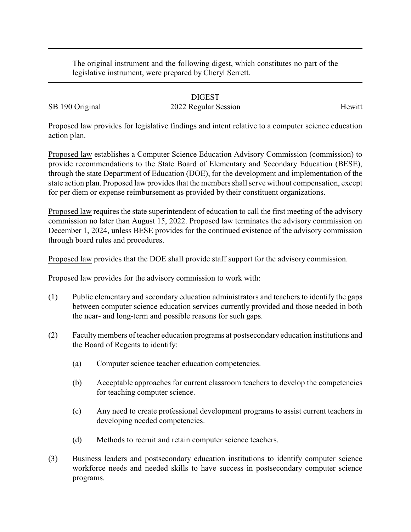The original instrument and the following digest, which constitutes no part of the legislative instrument, were prepared by Cheryl Serrett.

## DIGEST

## SB 190 Original 2022 Regular Session Hewitt

Proposed law provides for legislative findings and intent relative to a computer science education action plan.

Proposed law establishes a Computer Science Education Advisory Commission (commission) to provide recommendations to the State Board of Elementary and Secondary Education (BESE), through the state Department of Education (DOE), for the development and implementation of the state action plan. Proposed law provides that the members shall serve without compensation, except for per diem or expense reimbursement as provided by their constituent organizations.

Proposed law requires the state superintendent of education to call the first meeting of the advisory commission no later than August 15, 2022. Proposed law terminates the advisory commission on December 1, 2024, unless BESE provides for the continued existence of the advisory commission through board rules and procedures.

Proposed law provides that the DOE shall provide staff support for the advisory commission.

Proposed law provides for the advisory commission to work with:

- (1) Public elementary and secondary education administrators and teachers to identify the gaps between computer science education services currently provided and those needed in both the near- and long-term and possible reasons for such gaps.
- (2) Facultymembers of teacher education programs at postsecondary education institutions and the Board of Regents to identify:
	- (a) Computer science teacher education competencies.
	- (b) Acceptable approaches for current classroom teachers to develop the competencies for teaching computer science.
	- (c) Any need to create professional development programs to assist current teachers in developing needed competencies.
	- (d) Methods to recruit and retain computer science teachers.
- (3) Business leaders and postsecondary education institutions to identify computer science workforce needs and needed skills to have success in postsecondary computer science programs.